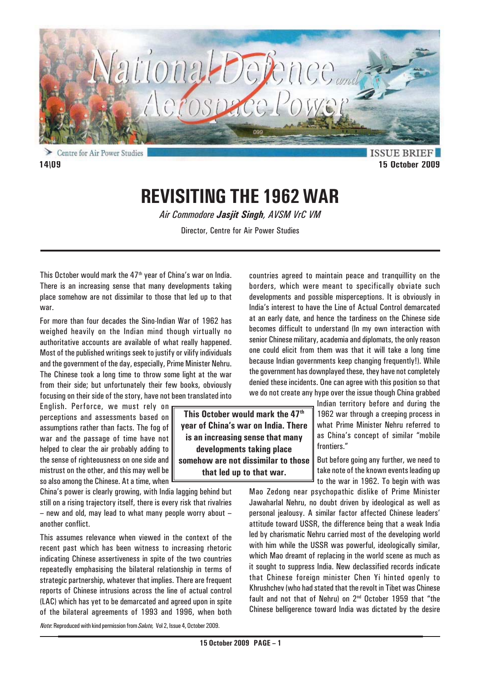

Centre for Air Power Studies **14\09 15 October 2009**

**ISSUE BRIEF** 

# **REVISITING THE 1962 WAR**

*Air Commodore Jasjit Singh, AVSM VrC VM*

Director, Centre for Air Power Studies

This October would mark the  $47<sup>th</sup>$  year of China's war on India. There is an increasing sense that many developments taking place somehow are not dissimilar to those that led up to that war.

For more than four decades the Sino-Indian War of 1962 has weighed heavily on the Indian mind though virtually no authoritative accounts are available of what really happened. Most of the published writings seek to justify or vilify individuals and the government of the day, especially, Prime Minister Nehru. The Chinese took a long time to throw some light at the war from their side; but unfortunately their few books, obviously focusing on their side of the story, have not been translated into

English. Perforce, we must rely on perceptions and assessments based on assumptions rather than facts. The fog of war and the passage of time have not helped to clear the air probably adding to the sense of righteousness on one side and mistrust on the other, and this may well be so also among the Chinese. At a time, when

China's power is clearly growing, with India lagging behind but still on a rising trajectory itself, there is every risk that rivalries – new and old, may lead to what many people worry about – another conflict.

This assumes relevance when viewed in the context of the recent past which has been witness to increasing rhetoric indicating Chinese assertiveness in spite of the two countries repeatedly emphasising the bilateral relationship in terms of strategic partnership, whatever that implies. There are frequent reports of Chinese intrusions across the line of actual control (LAC) which has yet to be demarcated and agreed upon in spite of the bilateral agreements of 1993 and 1996, when both

**This October would mark the 47th year of China's war on India. There is an increasing sense that many developments taking place somehow are not dissimilar to those that led up to that war.**

Indian territory before and during the 1962 war through a creeping process in what Prime Minister Nehru referred to as China's concept of similar "mobile frontiers."

But before going any further, we need to take note of the known events leading up to the war in 1962. To begin with was

Mao Zedong near psychopathic dislike of Prime Minister Jawaharlal Nehru, no doubt driven by ideological as well as personal jealousy. A similar factor affected Chinese leaders' attitude toward USSR, the difference being that a weak India led by charismatic Nehru carried most of the developing world with him while the USSR was powerful, ideologically similar, which Mao dreamt of replacing in the world scene as much as it sought to suppress India. New declassified records indicate that Chinese foreign minister Chen Yi hinted openly to Khrushchev (who had stated that the revolt in Tibet was Chinese fault and not that of Nehru) on 2<sup>nd</sup> October 1959 that "the Chinese belligerence toward India was dictated by the desire

countries agreed to maintain peace and tranquillity on the borders, which were meant to specifically obviate such developments and possible misperceptions. It is obviously in India's interest to have the Line of Actual Control demarcated at an early date, and hence the tardiness on the Chinese side becomes difficult to understand (In my own interaction with senior Chinese military, academia and diplomats, the only reason one could elicit from them was that it will take a long time because Indian governments keep changing frequently!). While the government has downplayed these, they have not completely denied these incidents. One can agree with this position so that we do not create any hype over the issue though China grabbed

*Note*: Reproduced with kind permission from *Salute,* Vol 2, Issue 4, October 2009.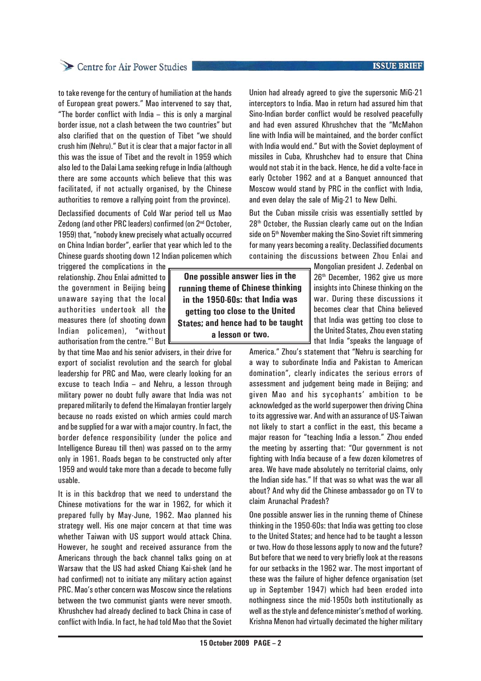## Centre for Air Power Studies

to take revenge for the century of humiliation at the hands of European great powers." Mao intervened to say that, "The border conflict with India – this is only a marginal border issue, not a clash between the two countries" but also clarified that on the question of Tibet "we should crush him (Nehru)." But it is clear that a major factor in all this was the issue of Tibet and the revolt in 1959 which also led to the Dalai Lama seeking refuge in India (although there are some accounts which believe that this was facilitated, if not actually organised, by the Chinese authorities to remove a rallying point from the province).

Declassified documents of Cold War period tell us Mao Zedong (and other PRC leaders) confirmed (on 2<sup>nd</sup> October, 1959) that, "nobody knew precisely what actually occurred on China Indian border", earlier that year which led to the Chinese guards shooting down 12 Indian policemen which

triggered the complications in the relationship. Zhou Enlai admitted to the government in Beijing being unaware saying that the local authorities undertook all the measures there (of shooting down Indian policemen), "without authorisation from the centre."<sup>1</sup> But

by that time Mao and his senior advisers, in their drive for export of socialist revolution and the search for global leadership for PRC and Mao, were clearly looking for an excuse to teach India – and Nehru, a lesson through military power no doubt fully aware that India was not prepared militarily to defend the Himalayan frontier largely because no roads existed on which armies could march and be supplied for a war with a major country. In fact, the border defence responsibility (under the police and Intelligence Bureau till then) was passed on to the army only in 1961. Roads began to be constructed only after 1959 and would take more than a decade to become fully usable.

It is in this backdrop that we need to understand the Chinese motivations for the war in 1962, for which it prepared fully by May-June, 1962. Mao planned his strategy well. His one major concern at that time was whether Taiwan with US support would attack China. However, he sought and received assurance from the Americans through the back channel talks going on at Warsaw that the US had asked Chiang Kai-shek (and he had confirmed) not to initiate any military action against PRC. Mao's other concern was Moscow since the relations between the two communist giants were never smooth. Khrushchev had already declined to back China in case of conflict with India. In fact, he had told Mao that the Soviet

**One possible answer lies in the running theme of Chinese thinking in the 1950-60s: that India was getting too close to the United States; and hence had to be taught a lesson or two.**

Union had already agreed to give the supersonic MiG-21 interceptors to India. Mao in return had assured him that Sino-Indian border conflict would be resolved peacefully and had even assured Khrushchev that the "McMahon line with India will be maintained, and the border conflict with India would end." But with the Soviet deployment of missiles in Cuba, Khrushchev had to ensure that China would not stab it in the back. Hence, he did a volte-face in early October 1962 and at a Banquet announced that Moscow would stand by PRC in the conflict with India, and even delay the sale of Mig-21 to New Delhi.

But the Cuban missile crisis was essentially settled by 28<sup>th</sup> October, the Russian clearly came out on the Indian side on 5<sup>th</sup> November making the Sino-Soviet rift simmering for many years becoming a reality. Declassified documents containing the discussions between Zhou Enlai and

> Mongolian president J. Zedenbal on 26<sup>th</sup> December, 1962 give us more insights into Chinese thinking on the war. During these discussions it becomes clear that China believed that India was getting too close to the United States, Zhou even stating that India "speaks the language of

America." Zhou's statement that "Nehru is searching for a way to subordinate India and Pakistan to American domination", clearly indicates the serious errors of assessment and judgement being made in Beijing; and given Mao and his sycophants' ambition to be acknowledged as the world superpower then driving China to its aggressive war. And with an assurance of US-Taiwan not likely to start a conflict in the east, this became a major reason for "teaching India a lesson." Zhou ended the meeting by asserting that: "Our government is not fighting with India because of a few dozen kilometres of area. We have made absolutely no territorial claims, only the Indian side has." If that was so what was the war all about? And why did the Chinese ambassador go on TV to claim Arunachal Pradesh?

One possible answer lies in the running theme of Chinese thinking in the 1950-60s: that India was getting too close to the United States; and hence had to be taught a lesson or two. How do those lessons apply to now and the future? But before that we need to very briefly look at the reasons for our setbacks in the 1962 war. The most important of these was the failure of higher defence organisation (set up in September 1947) which had been eroded into nothingness since the mid-1950s both institutionally as well as the style and defence minister's method of working. Krishna Menon had virtually decimated the higher military

## **ISSUE BRIEF**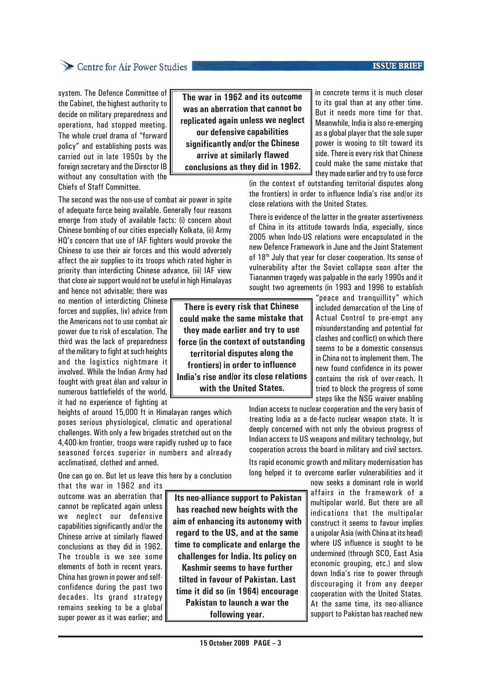## **ISSUE BRIEF**

## Centre for Air Power Studies

system. The Defence Committee of the Cabinet, the highest authority to decide on military preparedness and operations, had stopped meeting. The whole cruel drama of "forward policy" and establishing posts was carried out in late 1950s by the foreign secretary and the Director IB without any consultation with the Chiefs of Staff Committee.

The second was the non-use of combat air power in spite of adequate force being available. Generally four reasons emerge from study of available facts: (i) concern about Chinese bombing of our cities especially Kolkata, (ii) Army HQ's concern that use of IAF fighters would provoke the Chinese to use their air forces and this would adversely affect the air supplies to its troops which rated higher in priority than interdicting Chinese advance, (iii) IAF view that close air support would not be useful in high Himalayas

and hence not advisable; there was no mention of interdicting Chinese forces and supplies, (iv) advice from the Americans not to use combat air power due to risk of escalation. The third was the lack of preparedness of the military to fight at such heights and the logistics nightmare it involved. While the Indian Army had fought with great élan and valour in numerous battlefields of the world, it had no experience of fighting at

heights of around 15,000 ft in Himalayan ranges which poses serious physiological, climatic and operational challenges. With only a few brigades stretched out on the 4,400-km frontier, troops were rapidly rushed up to face seasoned forces superior in numbers and already acclimatised, clothed and armed.

One can go on. But let us leave this here by a conclusion

that the war in 1962 and its outcome was an aberration that cannot be replicated again unless we neglect our defensive capabilities significantly and/or the Chinese arrive at similarly flawed conclusions as they did in 1962. The trouble is we see some elements of both in recent years. China has grown in power and selfconfidence during the past two decades. Its grand strategy remains seeking to be a global super power as it was earlier; and

 **Its neo-alliance support to Pakistan has reached new heights with the aim of enhancing its autonomy with regard to the US, and at the same time to complicate and enlarge the challenges for India. Its policy on**

**Kashmir seems to have further tilted in favour of Pakistan. Last time it did so (in 1964) encourage Pakistan to launch a war the following year.**

**The war in 1962 and its outcome was an aberration that cannot be replicated again unless we neglect our defensive capabilities significantly and/or the Chinese arrive at similarly flawed conclusions as they did in 1962.**

in concrete terms it is much closer to its goal than at any other time. But it needs more time for that. Meanwhile, India is also re-emerging as a global player that the sole super power is wooing to tilt toward its side. There is every risk that Chinese could make the same mistake that they made earlier and try to use force

(in the context of outstanding territorial disputes along the frontiers) in order to influence India's rise and/or its close relations with the United States.

There is evidence of the latter in the greater assertiveness of China in its attitude towards India, especially, since 2005 when Indo-US relations were encapsulated in the new Defence Framework in June and the Joint Statement of 18<sup>th</sup> July that year for closer cooperation. Its sense of vulnerability after the Soviet collapse soon after the Tiananmen tragedy was palpable in the early 1990s and it sought two agreements (in 1993 and 1996 to establish

"peace and tranquillity" which included demarcation of the Line of Actual Control to pre-empt any misunderstanding and potential for clashes and conflict) on which there seems to be a domestic consensus in China not to implement them. The new found confidence in its power contains the risk of over-reach. It tried to block the progress of some steps like the NSG waiver enabling

Indian access to nuclear cooperation and the very basis of treating India as a de-facto nuclear weapon state. It is deeply concerned with not only the obvious progress of Indian access to US weapons and military technology, but cooperation across the board in military and civil sectors.

Its rapid economic growth and military modernisation has long helped it to overcome earlier vulnerabilities and it

> now seeks a dominant role in world affairs in the framework of a multipolar world. But there are all indications that the multipolar construct it seems to favour implies a unipolar Asia (with China at its head) where US influence is sought to be undermined (through SCO, East Asia economic grouping, etc.) and slow down India's rise to power through discouraging it from any deeper cooperation with the United States. At the same time, its neo-alliance support to Pakistan has reached new

**There is every risk that Chinese could make the same mistake that they made earlier and try to use force (in the context of outstanding territorial disputes along the frontiers) in order to influence India's rise and/or its close relations with the United States.**